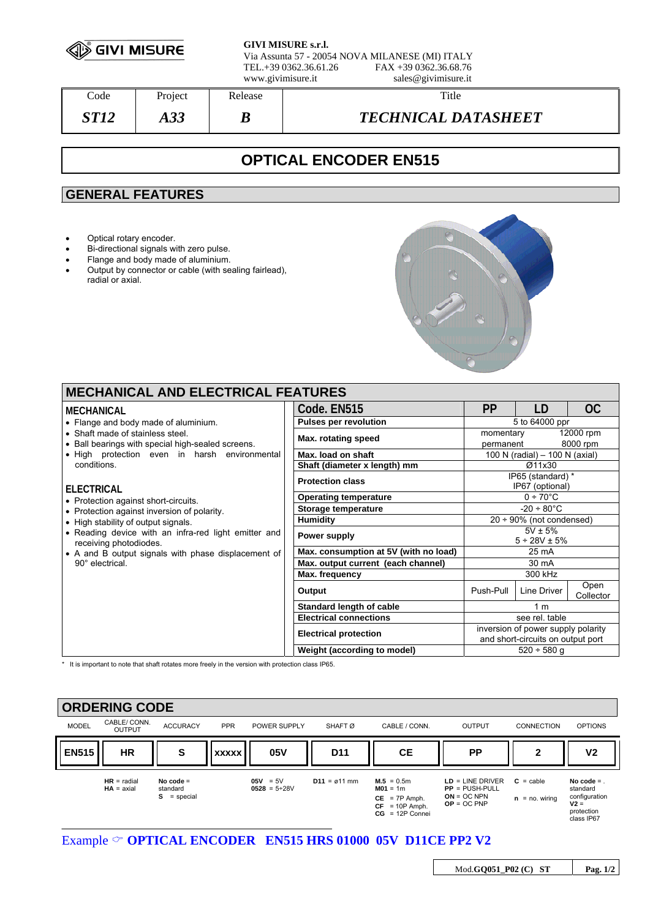

**GIVI MISURE s.r.l.** Via Assunta 57 - 20054 NOVA MILANESE (MI) ITALY FAX +39 0362.36.68.76 www.givimisure.it sales@givimisure.it

Code Project Release Number 2016 *ST12 A33 B TECHNICAL DATASHEET* 

# **OPTICAL ENCODER EN515**

# **GENERAL FEATURES**

- Optical rotary encoder.
- Bi-directional signals with zero pulse.
- Flange and body made of aluminium.
- Output by connector or cable (with sealing fairlead), radial or axial.



| <b>MECHANICAL AND ELECTRICAL FEATURES</b>                                                                                                                                                                                                                                                                                                                                                                                                                                                                    |                                       |                                                                         |             |                       |  |  |  |
|--------------------------------------------------------------------------------------------------------------------------------------------------------------------------------------------------------------------------------------------------------------------------------------------------------------------------------------------------------------------------------------------------------------------------------------------------------------------------------------------------------------|---------------------------------------|-------------------------------------------------------------------------|-------------|-----------------------|--|--|--|
| <b>MECHANICAL</b>                                                                                                                                                                                                                                                                                                                                                                                                                                                                                            | Code. EN515                           | <b>PP</b>                                                               | LD          | <sub>OC</sub>         |  |  |  |
| • Flange and body made of aluminium.<br>• Shaft made of stainless steel.<br>• Ball bearings with special high-sealed screens.<br>. High protection even in harsh environmental<br>conditions.<br><b>ELECTRICAL</b><br>• Protection against short-circuits.<br>• Protection against inversion of polarity.<br>• High stability of output signals.<br>• Reading device with an infra-red light emitter and<br>receiving photodiodes.<br>• A and B output signals with phase displacement of<br>90° electrical. | <b>Pulses per revolution</b>          | 5 to 64000 ppr                                                          |             |                       |  |  |  |
|                                                                                                                                                                                                                                                                                                                                                                                                                                                                                                              | Max. rotating speed                   | momentary<br>permanent                                                  |             | 12000 rpm<br>8000 rpm |  |  |  |
|                                                                                                                                                                                                                                                                                                                                                                                                                                                                                                              | Max. load on shaft                    | 100 N (radial) - 100 N (axial)                                          |             |                       |  |  |  |
|                                                                                                                                                                                                                                                                                                                                                                                                                                                                                                              | Shaft (diameter x length) mm          | Ø11x30                                                                  |             |                       |  |  |  |
|                                                                                                                                                                                                                                                                                                                                                                                                                                                                                                              | <b>Protection class</b>               | IP65 (standard) *<br>IP67 (optional)                                    |             |                       |  |  |  |
|                                                                                                                                                                                                                                                                                                                                                                                                                                                                                                              | <b>Operating temperature</b>          | $0 \div 70^{\circ}$ C                                                   |             |                       |  |  |  |
|                                                                                                                                                                                                                                                                                                                                                                                                                                                                                                              | Storage temperature                   | $-20 \div 80^{\circ}$ C                                                 |             |                       |  |  |  |
|                                                                                                                                                                                                                                                                                                                                                                                                                                                                                                              | <b>Humidity</b>                       | $20 \div 90\%$ (not condensed)                                          |             |                       |  |  |  |
|                                                                                                                                                                                                                                                                                                                                                                                                                                                                                                              | Power supply                          | $5V \pm 5\%$<br>$5 \div 28V \pm 5\%$                                    |             |                       |  |  |  |
|                                                                                                                                                                                                                                                                                                                                                                                                                                                                                                              | Max. consumption at 5V (with no load) | 25 mA                                                                   |             |                       |  |  |  |
|                                                                                                                                                                                                                                                                                                                                                                                                                                                                                                              | Max. output current (each channel)    | 30 mA                                                                   |             |                       |  |  |  |
|                                                                                                                                                                                                                                                                                                                                                                                                                                                                                                              | Max. frequency                        | 300 kHz                                                                 |             |                       |  |  |  |
|                                                                                                                                                                                                                                                                                                                                                                                                                                                                                                              | Output                                | Push-Pull                                                               | Line Driver | Open<br>Collector     |  |  |  |
|                                                                                                                                                                                                                                                                                                                                                                                                                                                                                                              | <b>Standard length of cable</b>       | 1 <sub>m</sub>                                                          |             |                       |  |  |  |
|                                                                                                                                                                                                                                                                                                                                                                                                                                                                                                              | <b>Electrical connections</b>         | see rel. table                                                          |             |                       |  |  |  |
|                                                                                                                                                                                                                                                                                                                                                                                                                                                                                                              | <b>Electrical protection</b>          | inversion of power supply polarity<br>and short-circuits on output port |             |                       |  |  |  |
|                                                                                                                                                                                                                                                                                                                                                                                                                                                                                                              | Weight (according to model)           | $520 \div 580$ q                                                        |             |                       |  |  |  |

\* It is important to note that shaft rotates more freely in the version with protection class IP65.



### Example  $\circ$  **OPTICAL ENCODER** EN515 HRS 01000 05V D11CE PP2 V2

Mod.**GQ051\_P02 (C) ST Pag. 1/2**